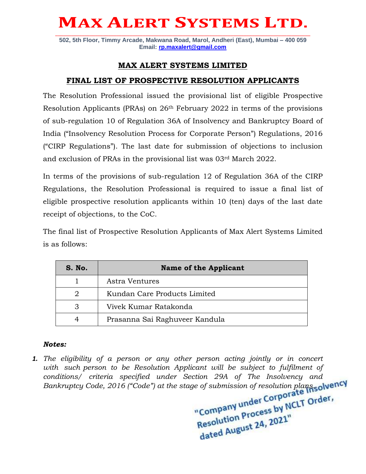# **MAX ALERT SYSTEMS LTD. \_\_\_\_\_\_\_\_\_\_\_\_\_\_\_\_\_\_\_\_\_\_\_\_\_\_\_\_\_\_\_\_\_\_\_\_\_\_\_\_\_\_\_\_\_\_\_\_\_\_\_\_\_\_\_\_\_\_\_\_\_\_\_\_\_\_\_\_\_\_\_\_\_\_\_\_\_\_\_\_\_\_\_\_\_\_\_\_\_\_\_\_\_\_\_\_**

**502, 5th Floor, Timmy Arcade, Makwana Road, Marol, Andheri (East), Mumbai – 400 059 Email: [rp.maxalert@gmail.com](mailto:rp.maxalert@gmail.com)**

### **MAX ALERT SYSTEMS LIMITED**

### **FINAL LIST OF PROSPECTIVE RESOLUTION APPLICANTS**

The Resolution Professional issued the provisional list of eligible Prospective Resolution Applicants (PRAs) on 26th February 2022 in terms of the provisions of sub-regulation 10 of Regulation 36A of Insolvency and Bankruptcy Board of India ("Insolvency Resolution Process for Corporate Person") Regulations, 2016 ("CIRP Regulations"). The last date for submission of objections to inclusion and exclusion of PRAs in the provisional list was 03rd March 2022.

In terms of the provisions of sub-regulation 12 of Regulation 36A of the CIRP Regulations, the Resolution Professional is required to issue a final list of eligible prospective resolution applicants within 10 (ten) days of the last date receipt of objections, to the CoC.

The final list of Prospective Resolution Applicants of Max Alert Systems Limited is as follows:

| S. No. | <b>Name of the Applicant</b>   |
|--------|--------------------------------|
|        | Astra Ventures                 |
| 2      | Kundan Care Products Limited   |
| 3      | Vivek Kumar Ratakonda          |
|        | Prasanna Sai Raghuveer Kandula |

#### *Notes:*

*1. The eligibility of a person or any other person acting jointly or in concert with such person to be Resolution Applicant will be subject to fulfilment of conditions/ criteria specified under Section 29A of The Insolvency and* 

*Bankruptcy Code, 2016 ("Code") at the stage of submission of resolution plans.*<br> **Bankruptcy Code, 2016 ("Code") at the stage of submission of resolution plans.**<br> **Bankruptcy Company under Corporate Torder,** Resolution Process<br>dated August 24, 2021"